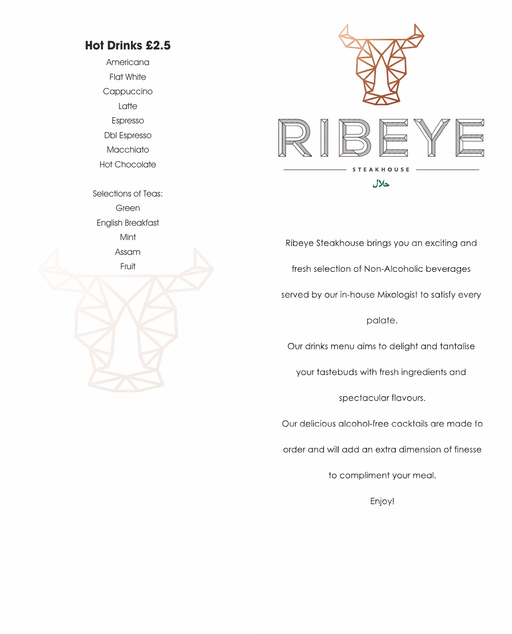# **Hot Drinks £2.5**

Americana Flat White Cappuccino Latte Espresso Dbl Espresso Macchiato

Hot Chocolate

Selections of Teas: Green English Breakfast Mint Assam

Fruit



Ribeye Steakhouse brings you an exciting and fresh selection of Non-Alcoholic beverages served by our in-house Mixologist to satisfy every palate.Our drinks menu aims to delight and tantalise your tastebuds with fresh ingredients and spectacular flavours. Our delicious alcohol-free cocktails are made to order and will add an extra dimension of finesse

to compliment your meal.

Enjoy!